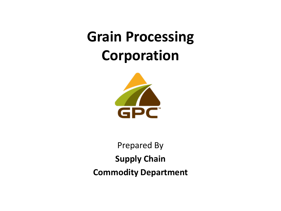## **Grain Processing Corporation**



Prepared By **Supply Chain Commodity Department**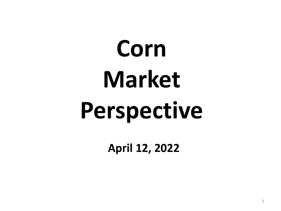# **Corn Market Perspective**

**April 12, 2022**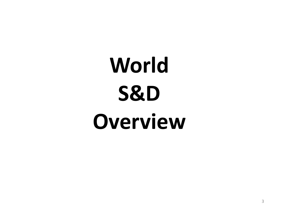# **World S&D Overview**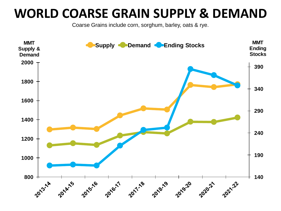### **WORLD COARSE GRAIN SUPPLY & DEMAND**

Coarse Grains include corn, sorghum, barley, oats & rye.

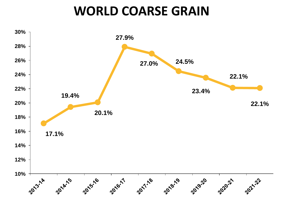### **WORLD COARSE GRAIN**

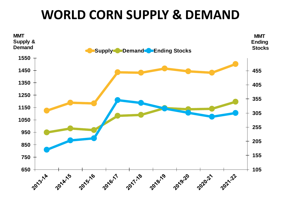### **WORLD CORN SUPPLY & DEMAND**

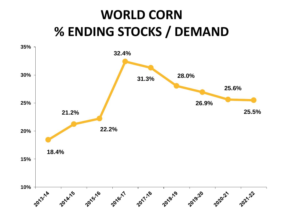## **WORLD CORN % ENDING STOCKS / DEMAND**

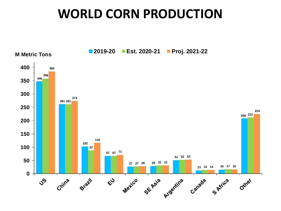### **WORLD CORN PRODUCTION**

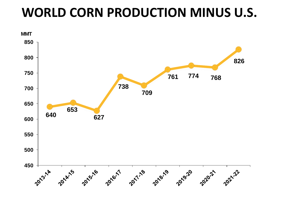### **WORLD CORN PRODUCTION MINUS U.S.**

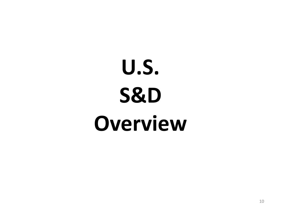# **U.S. S&D Overview**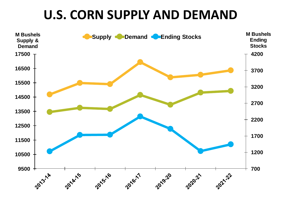### **U.S. CORN SUPPLY AND DEMAND**

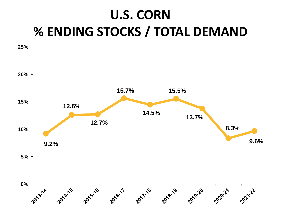## **U.S. CORN % ENDING STOCKS / TOTAL DEMAND**

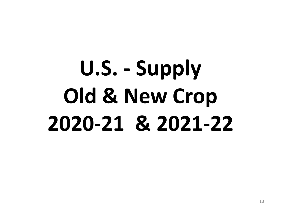## **U.S. - Supply Old & New Crop 2020-21 & 2021-22**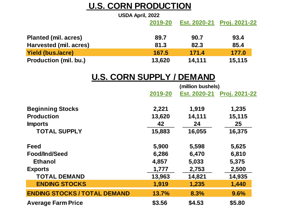### **U.S. CORN PRODUCTION**

| USDA April, 2022             |         |              |                      |
|------------------------------|---------|--------------|----------------------|
|                              | 2019-20 | Est. 2020-21 | <b>Proj. 2021-22</b> |
| <b>Planted (mil. acres)</b>  | 89.7    | 90.7         | 93.4                 |
| Harvested (mil. acres)       | 81.3    | 82.3         | 85.4                 |
| <b>Yield (bus./acre)</b>     | 167.5   | 171.4        | 177.0                |
| <b>Production (mil. bu.)</b> | 13,620  | 14,111       | 15,115               |

### **U.S. CORN SUPPLY / DEMAND**

|                                     |         | (million bushels) |                      |  |  |
|-------------------------------------|---------|-------------------|----------------------|--|--|
|                                     | 2019-20 | Est. 2020-21      | <b>Proj. 2021-22</b> |  |  |
| <b>Beginning Stocks</b>             | 2,221   | 1,919             | 1,235                |  |  |
| <b>Production</b>                   | 13,620  | 14,111            | 15,115               |  |  |
| <b>Imports</b>                      | 42      | 24                | 25                   |  |  |
| <b>TOTAL SUPPLY</b>                 | 15,883  | 16,055            | 16,375               |  |  |
| <b>Feed</b>                         | 5,900   | 5,598             | 5,625                |  |  |
| Food/Ind/Seed                       | 6,286   | 6,470             | 6,810                |  |  |
| Ethanol                             | 4,857   | 5,033             | 5,375                |  |  |
| <b>Exports</b>                      | 1,777   | 2,753             | 2,500                |  |  |
| <b>TOTAL DEMAND</b>                 | 13,963  | 14,821            | 14,935               |  |  |
| <b>ENDING STOCKS</b>                | 1,919   | 1,235             | 1,440                |  |  |
| <b>ENDING STOCKS / TOTAL DEMAND</b> | 13.7%   | 8.3%              | 9.6%                 |  |  |
| <b>Average Farm Price</b>           | \$3.56  | \$4.53            | \$5.80               |  |  |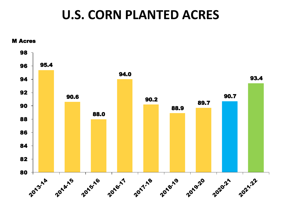### **U.S. CORN PLANTED ACRES**

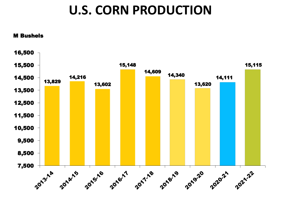### **U.S. CORN PRODUCTION**

#### M Bushels

![](_page_15_Figure_2.jpeg)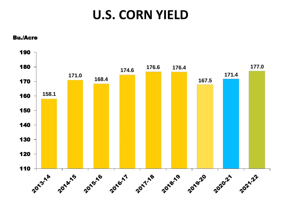### **U.S. CORN YIELD**

![](_page_16_Figure_1.jpeg)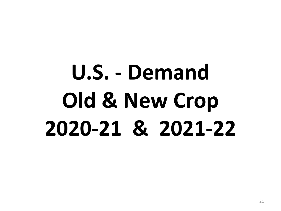# **U.S. - Demand Old & New Crop 2020-21 & 2021-22**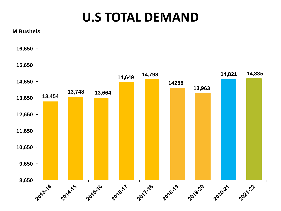### **U.S TOTAL DEMAND**

**M Bushels**

![](_page_18_Figure_2.jpeg)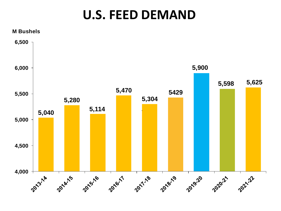### **U.S. FEED DEMAND**

![](_page_19_Figure_1.jpeg)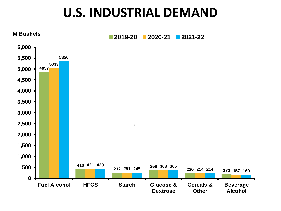### **U.S. INDUSTRIAL DEMAND**

![](_page_20_Figure_1.jpeg)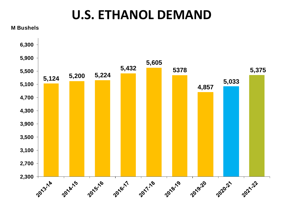### **U.S. ETHANOL DEMAND**

**M Bushels**

![](_page_21_Figure_2.jpeg)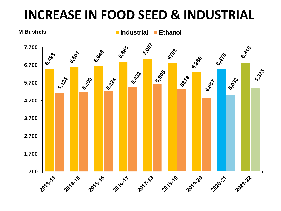### **INCREASE IN FOOD SEED & INDUSTRIAL**

![](_page_22_Figure_1.jpeg)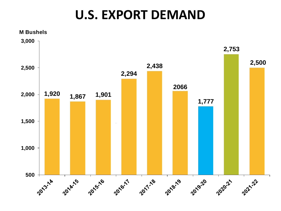### **U.S. EXPORT DEMAND**

![](_page_23_Figure_1.jpeg)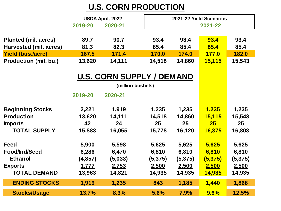### **U.S. CORN PRODUCTION**

|                              | USDA April, 2022<br>2020-21<br>2019-20 |        |        | 2021-22 Yield Scenarios<br>2021-22 |              |        |
|------------------------------|----------------------------------------|--------|--------|------------------------------------|--------------|--------|
| <b>Planted (mil. acres)</b>  | 89.7                                   | 90.7   | 93.4   | 93.4                               | 93.4         | 93.4   |
| Harvested (mil. acres)       | 81.3                                   | 82.3   | 85.4   | 85.4                               | 85.4         | 85.4   |
| <b>Yield (bus./acre)</b>     | 167.5                                  | 171.4  | 170.0  | 174.0                              | <u>177.0</u> | 182.0  |
| <b>Production (mil. bu.)</b> | 13,620                                 | 14,111 | 14,518 | 14,860                             | 15,115       | 15,543 |

### **U.S. CORN SUPPLY / DEMAND**

|                         | (million bushels) |         |         |         |               |          |
|-------------------------|-------------------|---------|---------|---------|---------------|----------|
|                         | 2019-20           | 2020-21 |         |         |               |          |
| <b>Beginning Stocks</b> | 2,221             | 1,919   | 1,235   | 1,235   | 1,235         | 1,235    |
| <b>Production</b>       | 13,620            | 14,111  | 14,518  | 14,860  | <b>15,115</b> | 15,543   |
| <b>Imports</b>          | 42                | 24      | 25      | 25      | 25            | 25       |
| <b>TOTAL SUPPLY</b>     | 15,883            | 16,055  | 15,778  | 16,120  | 16,375        | 16,803   |
| Feed                    | 5,900             | 5,598   | 5,625   | 5,625   | 5,625         | 5,625    |
| <b>Food/Ind/Seed</b>    | 6,286             | 6,470   | 6,810   | 6,810   | 6,810         | 6,810    |
| <b>Ethanol</b>          | (4, 857)          | (5,033) | (5,375) | (5,375) | (5, 375)      | (5, 375) |
| <b>Exports</b>          | <u>1,777</u>      | 2,753   | 2,500   | 2,500   | 2,500         | 2,500    |
| <b>TOTAL DEMAND</b>     | 13,963            | 14,821  | 14,935  | 14,935  | 14,935        | 14,935   |
| <b>ENDING STOCKS</b>    | 1,919             | 1,235   | 843     | 1,185   | 1,440         | 1,868    |
| <b>Stocks/Usage</b>     | 13.7%             | 8.3%    | 5.6%    | 7.9%    | 9.6%          | 12.5%    |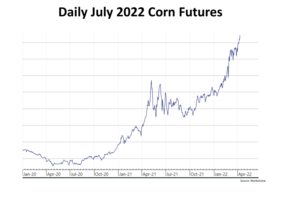### **Daily July 2022 Corn Futures**

![](_page_25_Figure_1.jpeg)

Source: Marketview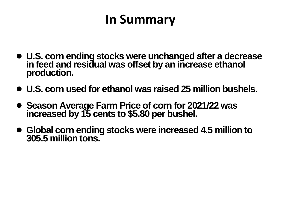## **In Summary**

- **U.S. corn ending stocks were unchanged after a decrease in feed and residual was offset by an increase ethanol production.**
- **U.S. corn used for ethanol was raised 25 million bushels.**
- Season Average Farm Price of corn for 2021/22 was **increased by 15 cents to \$5.80 per bushel.**
- **Global corn ending stocks were increased 4.5 million to 305.5 million tons.**